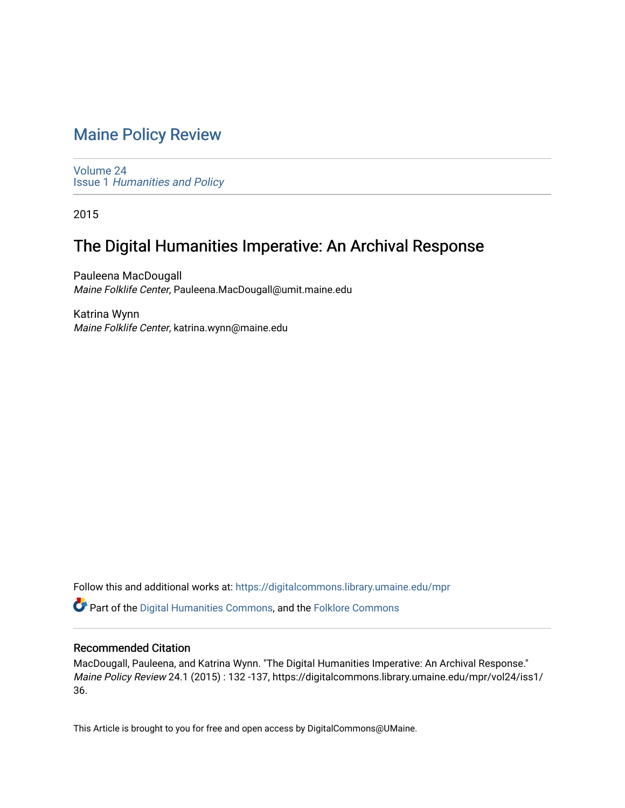# [Maine Policy Review](https://digitalcommons.library.umaine.edu/mpr)

[Volume 24](https://digitalcommons.library.umaine.edu/mpr/vol24) Issue 1 [Humanities and Policy](https://digitalcommons.library.umaine.edu/mpr/vol24/iss1)

2015

# The Digital Humanities Imperative: An Archival Response

Pauleena MacDougall Maine Folklife Center, Pauleena.MacDougall@umit.maine.edu

Katrina Wynn Maine Folklife Center, katrina.wynn@maine.edu

Follow this and additional works at: [https://digitalcommons.library.umaine.edu/mpr](https://digitalcommons.library.umaine.edu/mpr?utm_source=digitalcommons.library.umaine.edu%2Fmpr%2Fvol24%2Fiss1%2F36&utm_medium=PDF&utm_campaign=PDFCoverPages)

Part of the [Digital Humanities Commons](https://network.bepress.com/hgg/discipline/1286?utm_source=digitalcommons.library.umaine.edu%2Fmpr%2Fvol24%2Fiss1%2F36&utm_medium=PDF&utm_campaign=PDFCoverPages), and the [Folklore Commons](https://network.bepress.com/hgg/discipline/321?utm_source=digitalcommons.library.umaine.edu%2Fmpr%2Fvol24%2Fiss1%2F36&utm_medium=PDF&utm_campaign=PDFCoverPages)

# Recommended Citation

MacDougall, Pauleena, and Katrina Wynn. "The Digital Humanities Imperative: An Archival Response." Maine Policy Review 24.1 (2015) : 132 -137, https://digitalcommons.library.umaine.edu/mpr/vol24/iss1/ 36.

This Article is brought to you for free and open access by DigitalCommons@UMaine.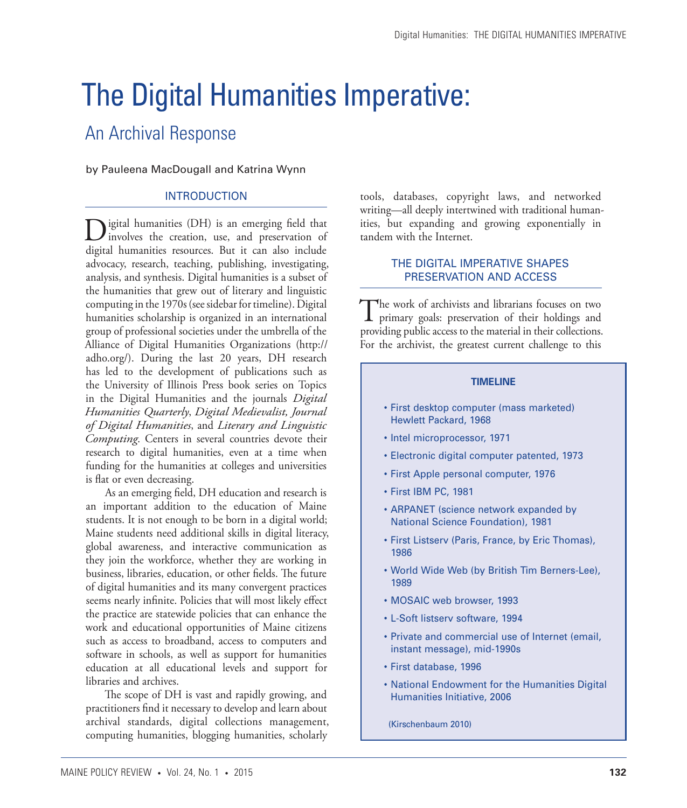# The Digital Humanities Imperative:

# An Archival Response

by Pauleena MacDougall and Katrina Wynn

# INTRODUCTION

Digital humanities (DH) is an emerging field that involves the creation, use, and preservation of digital humanities resources. But it can also include advocacy, research, teaching, publishing, investigating, analysis, and synthesis. Digital humanities is a subset of the humanities that grew out of literary and linguistic computing in the 1970s (see sidebar for timeline). Digital humanities scholarship is organized in an international group of professional societies under the umbrella of the Alliance of Digital Humanities Organizations (http:// adho.org/). During the last 20 years, DH research has led to the development of publications such as the University of Illinois Press book series on Topics in the Digital Humanities and the journals *Digital Humanities Quarterly*, *Digital Medievalist, Journal of Digital Humanities*, and *Literary and Linguistic Computing*. Centers in several countries devote their research to digital humanities, even at a time when funding for the humanities at colleges and universities is flat or even decreasing.

As an emerging field, DH education and research is an important addition to the education of Maine students. It is not enough to be born in a digital world; Maine students need additional skills in digital literacy, global awareness, and interactive communication as they join the workforce, whether they are working in business, libraries, education, or other fields. The future of digital humanities and its many convergent practices seems nearly infinite. Policies that will most likely effect the practice are statewide policies that can enhance the work and educational opportunities of Maine citizens such as access to broadband, access to computers and software in schools, as well as support for humanities education at all educational levels and support for libraries and archives.

The scope of DH is vast and rapidly growing, and practitioners find it necessary to develop and learn about archival standards, digital collections management, computing humanities, blogging humanities, scholarly

tools, databases, copyright laws, and networked writing—all deeply intertwined with traditional humanities, but expanding and growing exponentially in tandem with the Internet.

## THE DIGITAL IMPERATIVE SHAPES PRESERVATION AND ACCESS

The work of archivists and librarians focuses on two primary goals: preservation of their holdings and providing public access to the material in their collections. For the archivist, the greatest current challenge to this

#### **TIMELINE**

- • First desktop computer (mass marketed) Hewlett Packard, 1968
- Intel microprocessor, 1971
- • Electronic digital computer patented, 1973
- • First Apple personal computer, 1976
- • First IBM PC, 1981
- ARPANET (science network expanded by National Science Foundation), 1981
- First Listserv (Paris, France, by Eric Thomas), 1986
- • World Wide Web (by British Tim Berners-Lee), 1989
- • MOSAIC web browser, 1993
- • L-Soft listserv software, 1994
- • Private and commercial use of Internet (email, instant message), mid-1990s
- • First database, 1996
- • National Endowment for the Humanities Digital Humanities Initiative, 2006
- (Kirschenbaum 2010)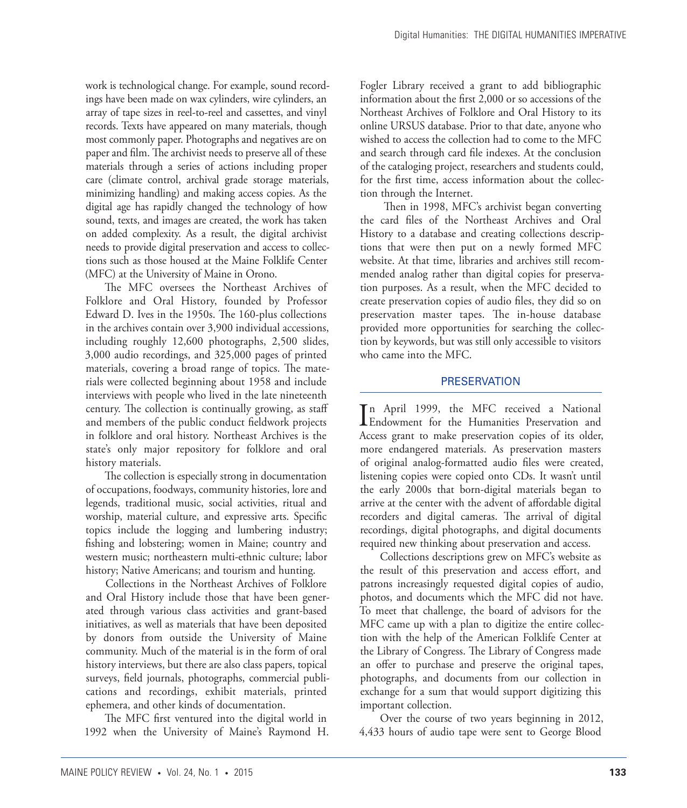work is technological change. For example, sound recordings have been made on wax cylinders, wire cylinders, an array of tape sizes in reel-to-reel and cassettes, and vinyl records. Texts have appeared on many materials, though most commonly paper. Photographs and negatives are on paper and film. The archivist needs to preserve all of these materials through a series of actions including proper care (climate control, archival grade storage materials, minimizing handling) and making access copies. As the digital age has rapidly changed the technology of how sound, texts, and images are created, the work has taken on added complexity. As a result, the digital archivist needs to provide digital preservation and access to collections such as those housed at the Maine Folklife Center (MFC) at the University of Maine in Orono.

The MFC oversees the Northeast Archives of Folklore and Oral History, founded by Professor Edward D. Ives in the 1950s. The 160-plus collections in the archives contain over 3,900 individual accessions, including roughly 12,600 photographs, 2,500 slides, 3,000 audio recordings, and 325,000 pages of printed materials, covering a broad range of topics. The materials were collected beginning about 1958 and include interviews with people who lived in the late nineteenth century. The collection is continually growing, as staff and members of the public conduct fieldwork projects in folklore and oral history. Northeast Archives is the state's only major repository for folklore and oral history materials.

The collection is especially strong in documentation of occupations, foodways, community histories, lore and legends, traditional music, social activities, ritual and worship, material culture, and expressive arts. Specific topics include the logging and lumbering industry; fishing and lobstering; women in Maine; country and western music; northeastern multi-ethnic culture; labor history; Native Americans; and tourism and hunting.

Collections in the Northeast Archives of Folklore and Oral History include those that have been generated through various class activities and grant-based initiatives, as well as materials that have been deposited by donors from outside the University of Maine community. Much of the material is in the form of oral history interviews, but there are also class papers, topical surveys, field journals, photographs, commercial publications and recordings, exhibit materials, printed ephemera, and other kinds of documentation.

The MFC first ventured into the digital world in 1992 when the University of Maine's Raymond H. Fogler Library received a grant to add bibliographic information about the first 2,000 or so accessions of the Northeast Archives of Folklore and Oral History to its online URSUS database. Prior to that date, anyone who wished to access the collection had to come to the MFC and search through card file indexes. At the conclusion of the cataloging project, researchers and students could, for the first time, access information about the collection through the Internet.

 Then in 1998, MFC's archivist began converting the card files of the Northeast Archives and Oral History to a database and creating collections descriptions that were then put on a newly formed MFC website. At that time, libraries and archives still recommended analog rather than digital copies for preservation purposes. As a result, when the MFC decided to create preservation copies of audio files, they did so on preservation master tapes. The in-house database provided more opportunities for searching the collection by keywords, but was still only accessible to visitors who came into the MFC.

## **PRESERVATION**

In April 1999, the MFC received a National<br>Endowment for the Humanities Preservation and n April 1999, the MFC received a National Access grant to make preservation copies of its older, more endangered materials. As preservation masters of original analog-formatted audio files were created, listening copies were copied onto CDs. It wasn't until the early 2000s that born-digital materials began to arrive at the center with the advent of affordable digital recorders and digital cameras. The arrival of digital recordings, digital photographs, and digital documents required new thinking about preservation and access.

Collections descriptions grew on MFC's website as the result of this preservation and access effort, and patrons increasingly requested digital copies of audio, photos, and documents which the MFC did not have. To meet that challenge, the board of advisors for the MFC came up with a plan to digitize the entire collection with the help of the American Folklife Center at the Library of Congress. The Library of Congress made an offer to purchase and preserve the original tapes, photographs, and documents from our collection in exchange for a sum that would support digitizing this important collection.

Over the course of two years beginning in 2012, 4,433 hours of audio tape were sent to George Blood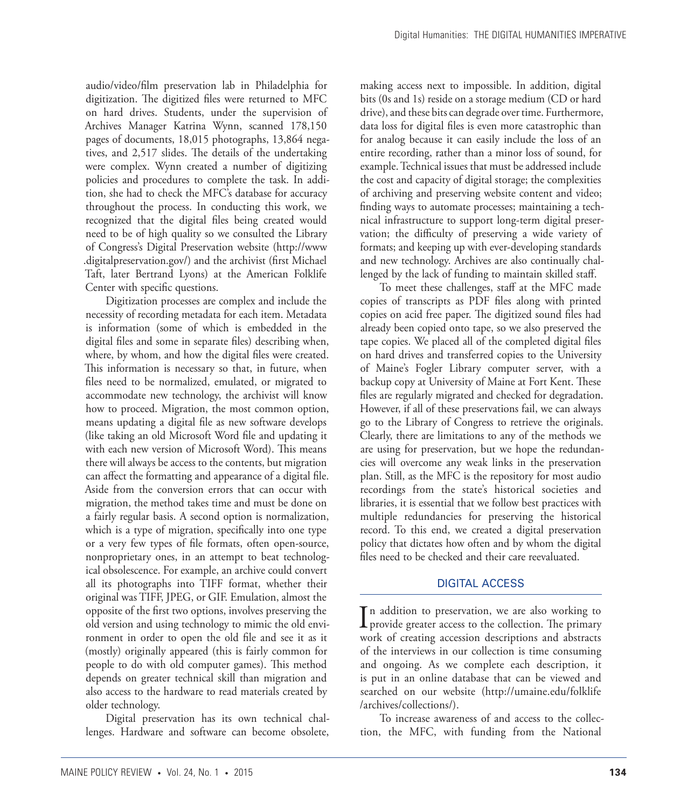audio/video/film preservation lab in Philadelphia for digitization. The digitized files were returned to MFC on hard drives. Students, under the supervision of Archives Manager Katrina Wynn, scanned 178,150 pages of documents, 18,015 photographs, 13,864 negatives, and 2,517 slides. The details of the undertaking were complex. Wynn created a number of digitizing policies and procedures to complete the task. In addition, she had to check the MFC's database for accuracy throughout the process. In conducting this work, we recognized that the digital files being created would need to be of high quality so we consulted the Library of Congress's Digital Preservation website (http://www .digitalpreservation.gov/) and the archivist (first Michael Taft, later Bertrand Lyons) at the American Folklife Center with specific questions.

Digitization processes are complex and include the necessity of recording metadata for each item. Metadata is information (some of which is embedded in the digital files and some in separate files) describing when, where, by whom, and how the digital files were created. This information is necessary so that, in future, when files need to be normalized, emulated, or migrated to accommodate new technology, the archivist will know how to proceed. Migration, the most common option, means updating a digital file as new software develops (like taking an old Microsoft Word file and updating it with each new version of Microsoft Word). This means there will always be access to the contents, but migration can affect the formatting and appearance of a digital file. Aside from the conversion errors that can occur with migration, the method takes time and must be done on a fairly regular basis. A second option is normalization, which is a type of migration, specifically into one type or a very few types of file formats, often open-source, nonproprietary ones, in an attempt to beat technological obsolescence. For example, an archive could convert all its photographs into TIFF format, whether their original was TIFF, JPEG, or GIF. Emulation, almost the opposite of the first two options, involves preserving the old version and using technology to mimic the old environment in order to open the old file and see it as it (mostly) originally appeared (this is fairly common for people to do with old computer games). This method depends on greater technical skill than migration and also access to the hardware to read materials created by older technology.

Digital preservation has its own technical challenges. Hardware and software can become obsolete, making access next to impossible. In addition, digital bits (0s and 1s) reside on a storage medium (CD or hard drive), and these bits can degrade over time. Furthermore, data loss for digital files is even more catastrophic than for analog because it can easily include the loss of an entire recording, rather than a minor loss of sound, for example. Technical issues that must be addressed include the cost and capacity of digital storage; the complexities of archiving and preserving website content and video; finding ways to automate processes; maintaining a technical infrastructure to support long-term digital preservation; the difficulty of preserving a wide variety of formats; and keeping up with ever-developing standards and new technology. Archives are also continually challenged by the lack of funding to maintain skilled staff.

To meet these challenges, staff at the MFC made copies of transcripts as PDF files along with printed copies on acid free paper. The digitized sound files had already been copied onto tape, so we also preserved the tape copies. We placed all of the completed digital files on hard drives and transferred copies to the University of Maine's Fogler Library computer server, with a backup copy at University of Maine at Fort Kent. These files are regularly migrated and checked for degradation. However, if all of these preservations fail, we can always go to the Library of Congress to retrieve the originals. Clearly, there are limitations to any of the methods we are using for preservation, but we hope the redundancies will overcome any weak links in the preservation plan. Still, as the MFC is the repository for most audio recordings from the state's historical societies and libraries, it is essential that we follow best practices with multiple redundancies for preserving the historical record. To this end, we created a digital preservation policy that dictates how often and by whom the digital files need to be checked and their care reevaluated.

## DIGITAL ACCESS

In addition to preservation, we are also working to<br>provide greater access to the collection. The primary **L** provide greater access to the collection. The primary work of creating accession descriptions and abstracts of the interviews in our collection is time consuming and ongoing. As we complete each description, it is put in an online database that can be viewed and searched on our website (http://umaine.edu/folklife /archives/collections/).

To increase awareness of and access to the collection, the MFC, with funding from the National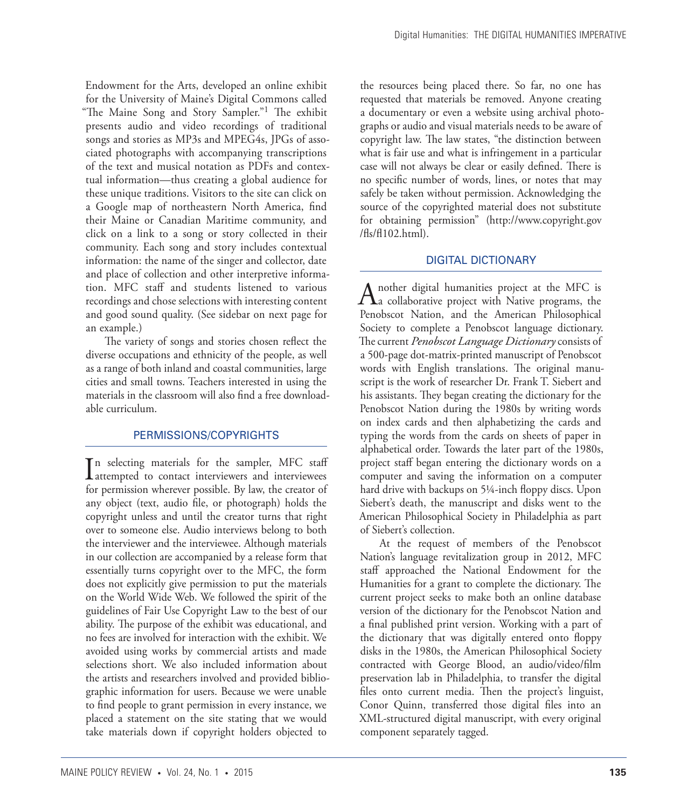Endowment for the Arts, developed an online exhibit for the University of Maine's Digital Commons called "The Maine Song and Story Sampler."1 The exhibit presents audio and video recordings of traditional songs and stories as MP3s and MPEG4s, JPGs of associated photographs with accompanying transcriptions of the text and musical notation as PDFs and contextual information—thus creating a global audience for these unique traditions. Visitors to the site can click on a Google map of northeastern North America, find their Maine or Canadian Maritime community, and click on a link to a song or story collected in their community. Each song and story includes contextual information: the name of the singer and collector, date and place of collection and other interpretive information. MFC staff and students listened to various recordings and chose selections with interesting content and good sound quality. (See sidebar on next page for an example.)

The variety of songs and stories chosen reflect the diverse occupations and ethnicity of the people, as well as a range of both inland and coastal communities, large cities and small towns. Teachers interested in using the materials in the classroom will also find a free downloadable curriculum.

# PERMISSIONS/COPYRIGHTS

 $\prod_{\text{attempted}}$  to contact interviewers and interviewees n selecting materials for the sampler, MFC staff for permission wherever possible. By law, the creator of any object (text, audio file, or photograph) holds the copyright unless and until the creator turns that right over to someone else. Audio interviews belong to both the interviewer and the interviewee. Although materials in our collection are accompanied by a release form that essentially turns copyright over to the MFC, the form does not explicitly give permission to put the materials on the World Wide Web. We followed the spirit of the guidelines of Fair Use Copyright Law to the best of our ability. The purpose of the exhibit was educational, and no fees are involved for interaction with the exhibit. We avoided using works by commercial artists and made selections short. We also included information about the artists and researchers involved and provided bibliographic information for users. Because we were unable to find people to grant permission in every instance, we placed a statement on the site stating that we would take materials down if copyright holders objected to

the resources being placed there. So far, no one has requested that materials be removed. Anyone creating a documentary or even a website using archival photographs or audio and visual materials needs to be aware of copyright law. The law states, "the distinction between what is fair use and what is infringement in a particular case will not always be clear or easily defined. There is no specific number of words, lines, or notes that may safely be taken without permission. Acknowledging the source of the copyrighted material does not substitute for obtaining permission" (http://www.copyright.gov /fls/fl102.html).

# DIGITAL DICTIONARY

A nother digital humanities project at the MFC is<br>a collaborative project with Native programs, the Penobscot Nation, and the American Philosophical Society to complete a Penobscot language dictionary. The current *Penobscot Language Dictionary* consists of a 500-page dot-matrix-printed manuscript of Penobscot words with English translations. The original manuscript is the work of researcher Dr. Frank T. Siebert and his assistants. They began creating the dictionary for the Penobscot Nation during the 1980s by writing words on index cards and then alphabetizing the cards and typing the words from the cards on sheets of paper in alphabetical order. Towards the later part of the 1980s, project staff began entering the dictionary words on a computer and saving the information on a computer hard drive with backups on 5¼-inch floppy discs. Upon Siebert's death, the manuscript and disks went to the American Philosophical Society in Philadelphia as part of Siebert's collection.

At the request of members of the Penobscot Nation's language revitalization group in 2012, MFC staff approached the National Endowment for the Humanities for a grant to complete the dictionary. The current project seeks to make both an online database version of the dictionary for the Penobscot Nation and a final published print version. Working with a part of the dictionary that was digitally entered onto floppy disks in the 1980s, the American Philosophical Society contracted with George Blood, an audio/video/film preservation lab in Philadelphia, to transfer the digital files onto current media. Then the project's linguist, Conor Quinn, transferred those digital files into an XML-structured digital manuscript, with every original component separately tagged.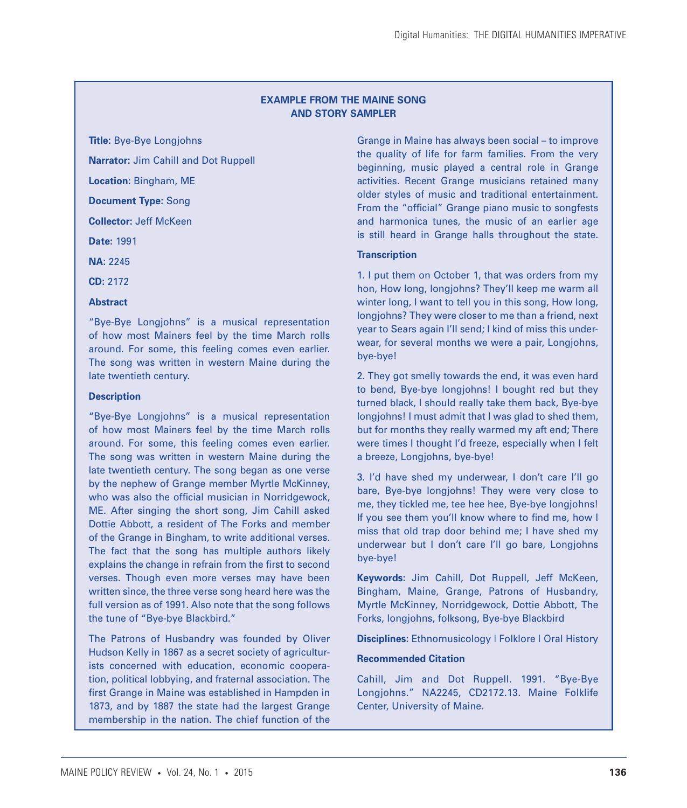## **EXAMPLE FROM THE MAINE SONG AND STORY SAMPLER**

**Title:** Bye-Bye Longjohns

**Narrator:** Jim Cahill and Dot Ruppell

**Location:** Bingham, ME

**Document Type:** Song

**Collector:** Jeff McKeen

**Date:** 1991

**NA:** 2245

**CD:** 2172

#### **Abstract**

"Bye-Bye Longjohns" is a musical representation of how most Mainers feel by the time March rolls around. For some, this feeling comes even earlier. The song was written in western Maine during the late twentieth century.

## **Description**

"Bye-Bye Longjohns" is a musical representation of how most Mainers feel by the time March rolls around. For some, this feeling comes even earlier. The song was written in western Maine during the late twentieth century. The song began as one verse by the nephew of Grange member Myrtle McKinney, who was also the official musician in Norridgewock, ME. After singing the short song, Jim Cahill asked Dottie Abbott, a resident of The Forks and member of the Grange in Bingham, to write additional verses. The fact that the song has multiple authors likely explains the change in refrain from the first to second verses. Though even more verses may have been written since, the three verse song heard here was the full version as of 1991. Also note that the song follows the tune of "Bye-bye Blackbird."

The Patrons of Husbandry was founded by Oliver Hudson Kelly in 1867 as a secret society of agriculturists concerned with education, economic cooperation, political lobbying, and fraternal association. The first Grange in Maine was established in Hampden in 1873, and by 1887 the state had the largest Grange membership in the nation. The chief function of the

Grange in Maine has always been social – to improve the quality of life for farm families. From the very beginning, music played a central role in Grange activities. Recent Grange musicians retained many older styles of music and traditional entertainment. From the "official" Grange piano music to songfests and harmonica tunes, the music of an earlier age is still heard in Grange halls throughout the state.

# **Transcription**

1. I put them on October 1, that was orders from my hon, How long, longjohns? They'll keep me warm all winter long, I want to tell you in this song, How long, longjohns? They were closer to me than a friend, next year to Sears again I'll send; I kind of miss this underwear, for several months we were a pair, Longjohns, bye-bye!

2. They got smelly towards the end, it was even hard to bend, Bye-bye longjohns! I bought red but they turned black, I should really take them back, Bye-bye longjohns! I must admit that I was glad to shed them, but for months they really warmed my aft end; There were times I thought I'd freeze, especially when I felt a breeze, Longjohns, bye-bye!

3. I'd have shed my underwear, I don't care I'll go bare, Bye-bye longjohns! They were very close to me, they tickled me, tee hee hee, Bye-bye longjohns! If you see them you'll know where to find me, how I miss that old trap door behind me; I have shed my underwear but I don't care I'll go bare, Longjohns bye-bye!

**Keywords:** Jim Cahill, Dot Ruppell, Jeff McKeen, Bingham, Maine, Grange, Patrons of Husbandry, Myrtle McKinney, Norridgewock, Dottie Abbott, The Forks, longjohns, folksong, Bye-bye Blackbird

**Disciplines:** Ethnomusicology | Folklore | Oral History

#### **Recommended Citation**

Cahill, Jim and Dot Ruppell. 1991. "Bye-Bye Longjohns." NA2245, CD2172.13. Maine Folklife Center, University of Maine.